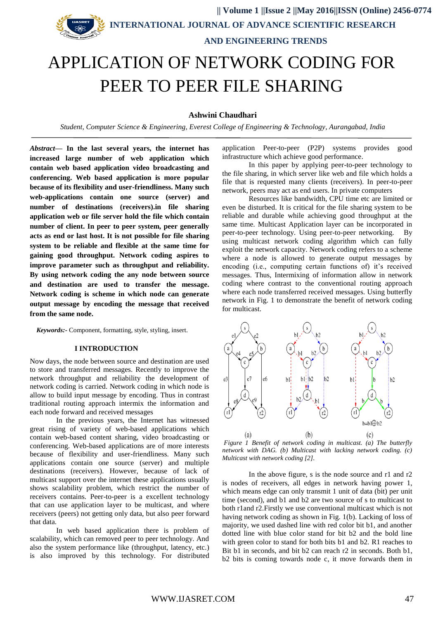# **|| Volume 1 ||Issue 2 ||May 2016||ISSN (Online) 2456-0774 INTERNATIONAL JOURNAL OF ADVANCE SCIENTIFIC RESEARCH AND ENGINEERING TRENDS** APPLICATION OF NETWORK CODING FOR PEER TO PEER FILE SHARING

# **Ashwini Chaudhari**

*Student, Computer Science & Engineering, Everest College of Engineering & Technology, Aurangabad, India*

*Abstract***— In the last several years, the internet has increased large number of web application which contain web based application video broadcasting and conferencing. Web based application is more popular because of its flexibility and user-friendliness. Many such web-applications contain one source (server) and number of destinations (receivers).in file sharing application web or file server hold the file which contain number of client. In peer to peer system, peer generally acts as end or last host. It is not possible for file sharing system to be reliable and flexible at the same time for gaining good throughput. Network coding aspires to improve parameter such as throughput and reliability. By using network coding the any node between source and destination are used to transfer the message. Network coding is scheme in which node can generate output message by encoding the message that received from the same node.** 

*Keywords:-* Component, formatting, style, styling, insert.

#### **I INTRODUCTION**

Now days, the node between source and destination are used to store and transferred messages. Recently to improve the network throughput and reliability the development of network coding is carried. Network coding in which node is allow to build input message by encoding. Thus in contrast traditional routing approach intermix the information and each node forward and received messages

In the previous years, the Internet has witnessed great rising of variety of web-based applications which contain web-based content sharing, video broadcasting or conferencing. Web-based applications are of more interests because of flexibility and user-friendliness. Many such applications contain one source (server) and multiple destinations (receivers). However, because of lack of multicast support over the internet these applications usually shows scalability problem, which restrict the number of receivers contains. Peer-to-peer is a excellent technology that can use application layer to be multicast, and where receivers (peers) not getting only data, but also peer forward that data.

In web based application there is problem of scalability, which can removed peer to peer technology. And also the system performance like (throughput, latency, etc.) is also improved by this technology. For distributed application Peer-to-peer (P2P) systems provides good infrastructure which achieve good performance.

In this paper by applying peer-to-peer technology to the file sharing, in which server like web and file which holds a file that is requested many clients (receivers). In peer-to-peer network, peers may act as end users. In private computers

Resources like bandwidth, CPU time etc are limited or even be disturbed. It is critical for the file sharing system to be reliable and durable while achieving good throughput at the same time. Multicast Application layer can be incorporated in peer-to-peer technology. Using peer-to-peer networking. By using multicast network coding algorithm which can fully exploit the network capacity. Network coding refers to a scheme where a node is allowed to generate output messages by encoding (i.e., computing certain functions of) it's received messages. Thus, Intermixing of information allow in network coding where contrast to the conventional routing approach where each node transferred received messages. Using butterfly network in Fig. 1 to demonstrate the benefit of network coding for multicast.



*Figure 1 Benefit of network coding in multicast. (a) The butterfly network with DAG. (b) Multicast with lacking network coding. (c) Multicast with network coding [2].* 

In the above figure, s is the node source and r1 and r2 is nodes of receivers, all edges in network having power 1, which means edge can only transmit 1 unit of data (bit) per unit time (second), and b1 and b2 are two source of s to multicast to both r1and r2.Firstly we use conventional multicast which is not having network coding as shown in Fig. 1(b). Lacking of loss of majority, we used dashed line with red color bit b1, and another dotted line with blue color stand for bit b2 and the bold line with green color to stand for both bits b1 and b2. R1 reaches to Bit b1 in seconds, and bit b2 can reach r2 in seconds. Both b1, b2 bits is coming towards node c, it move forwards them in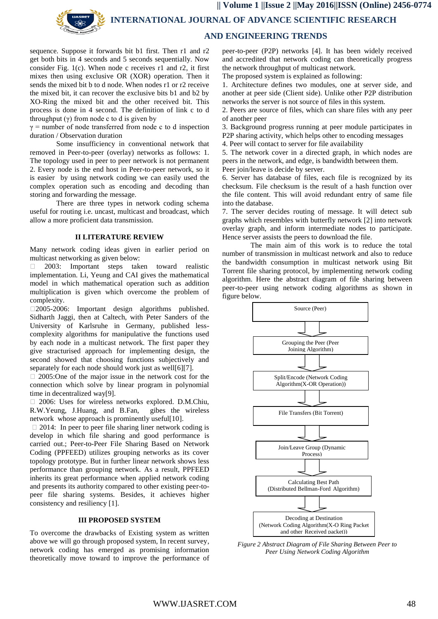

 **INTERNATIONAL JOURNAL OF ADVANCE SCIENTIFIC RESEARCH** 

# **AND ENGINEERING TRENDS**

sequence. Suppose it forwards bit b1 first. Then r1 and r2 get both bits in 4 seconds and 5 seconds sequentially. Now consider Fig. 1(c). When node c receives  $r1$  and  $r2$ , it first mixes then using exclusive OR (XOR) operation. Then it sends the mixed bit b to d node. When nodes r1 or r2 receive the mixed bit, it can recover the exclusive bits b1 and b2 by XO-Ring the mixed bit and the other received bit. This process is done in 4 second. The definition of link c to d throughput  $(\gamma)$  from node c to d is given by

 $\gamma$  = number of node transferred from node c to d inspection duration / Observation duration

Some insufficiency in conventional network that removed in Peer-to-peer (overlay) networks as follows: 1. The topology used in peer to peer network is not permanent 2. Every node is the end host in Peer-to-peer network, so it is easier by using network coding we can easily used the complex operation such as encoding and decoding than storing and forwarding the message.

There are three types in network coding schema useful for routing i.e. uncast, multicast and broadcast, which allow a more proficient data transmission.

## **II LITERATURE REVIEW**

Many network coding ideas given in earlier period on multicast networking as given below:

 2003: Important steps taken toward realistic implementation. Li, Yeung and CAI gives the mathematical model in which mathematical operation such as addition multiplication is given which overcome the problem of complexity.

2005-2006: Important design algorithms published. Sidharth Jaggi, then at Caltech, with Peter Sanders of the University of Karlsruhe in Germany, published lesscomplexity algorithms for manipulative the functions used by each node in a multicast network. The first paper they give stracturised approach for implementing design, the second showed that choosing functions subjectively and separately for each node should work just as well[6][7].

 $\Box$  2005:One of the major issue in the network cost for the connection which solve by linear program in polynomial time in decentralized way[9].

 2006: Uses for wireless networks explored. D.M.Chiu, R.W.Yeung, J.Huang, and B.Fan, gibes the wireless network whose approach is prominently useful[10].

 $\Box$  2014: In peer to peer file sharing liner network coding is develop in which file sharing and good performance is carried out.; Peer-to-Peer File Sharing Based on Network Coding (PPFEED) utilizes grouping networks as its cover topology prototype. But in further linear network shows less performance than grouping network. As a result, PPFEED inherits its great performance when applied network coding and presents its authority compared to other existing peer-topeer file sharing systems. Besides, it achieves higher consistency and resiliency [1].

# **III PROPOSED SYSTEM**

To overcome the drawbacks of Existing system as written above we will go through proposed system, In recent survey, network coding has emerged as promising information theoretically move toward to improve the performance of

peer-to-peer (P2P) networks [4]. It has been widely received and accredited that network coding can theoretically progress the network throughput of multicast network.

The proposed system is explained as following:

1. Architecture defines two modules, one at server side, and another at peer side (Client side). Unlike other P2P distribution networks the server is not source of files in this system.

2. Peers are source of files, which can share files with any peer of another peer

3. Background progress running at peer module participates in P2P sharing activity, which helps other to encoding messages

4. Peer will contact to server for file availability

5. The network cover in a directed graph, in which nodes are peers in the network, and edge, is bandwidth between them.

Peer join/leave is decide by server.

6. Server has database of files, each file is recognized by its checksum. File checksum is the result of a hash function over the file content. This will avoid redundant entry of same file into the database.

7. The server decides routing of message. It will detect sub graphs which resembles with butterfly network [2] into network overlay graph, and inform intermediate nodes to participate. Hence server assists the peers to download the file.

The main aim of this work is to reduce the total number of transmission in multicast network and also to reduce the bandwidth consumption in multicast network using Bit Torrent file sharing protocol, by implementing network coding algorithm. Here the abstract diagram of file sharing between peer-to-peer using network coding algorithms as shown in figure below.



*Figure 2 Abstract Diagram of File Sharing Between Peer to Peer Using Network Coding Algorithm*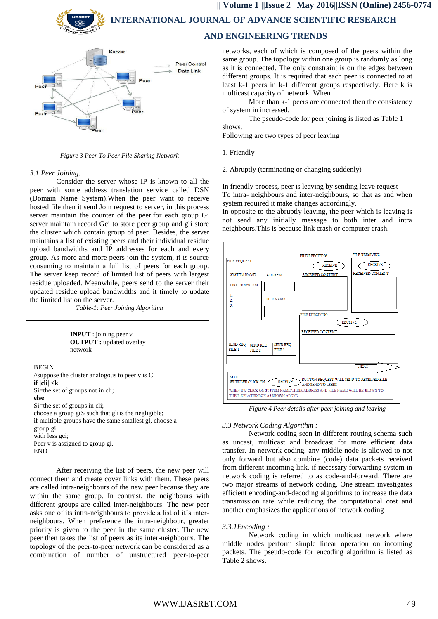**INTERNATIONAL JOURNAL OF ADVANCE SCIENTIFIC RESEARCH** 

# **AND ENGINEERING TRENDS**



*Figure 3 Peer To Peer File Sharing Network*

#### *3.1 Peer Joining:*

Consider the server whose IP is known to all the peer with some address translation service called DSN (Domain Name System).When the peer want to receive hosted file then it send Join request to server, in this process server maintain the counter of the peer.for each group Gi server maintain record Gci to store peer group and gli store the cluster which contain group of peer. Besides, the server maintains a list of existing peers and their individual residue upload bandwidths and IP addresses for each and every group. As more and more peers join the system, it is source consuming to maintain a full list of peers for each group. The server keep record of limited list of peers with largest residue uploaded. Meanwhile, peers send to the server their updated residue upload bandwidths and it timely to update the limited list on the server.

*Table-1: Peer Joining Algorithm* 



After receiving the list of peers, the new peer will connect them and create cover links with them. These peers are called intra-neighbours of the new peer because they are within the same group. In contrast, the neighbours with different groups are called inter-neighbours. The new peer asks one of its intra-neighbours to provide a list of it's interneighbours. When preference the intra-neighbour, greater priority is given to the peer in the same cluster. The new peer then takes the list of peers as its inter-neighbours. The topology of the peer-to-peer network can be considered as a combination of number of unstructured peer-to-peer networks, each of which is composed of the peers within the same group. The topology within one group is randomly as long as it is connected. The only constraint is on the edges between different groups. It is required that each peer is connected to at least k-1 peers in k-1 different groups respectively. Here k is multicast capacity of network. When

More than k-1 peers are connected then the consistency of system in increased.

The pseudo-code for peer joining is listed as Table 1 shows.

Following are two types of peer leaving

- 1. Friendly
- 2. Abruptly (terminating or changing suddenly)

In friendly process, peer is leaving by sending leave request To intra- neighbours and inter-neighbours, so that as and when system required it make changes accordingly.

In opposite to the abruptly leaving, the peer which is leaving is not send any initially message to both inter and intra neighbours.This is because link crash or computer crash.



*Figure 4 Peer details after peer joining and leaving*

## *3.3 Network Coding Algorithm :*

Network coding seen in different routing schema such as uncast, multicast and broadcast for more efficient data transfer. In network coding, any middle node is allowed to not only forward but also combine (code) data packets received from different incoming link. if necessary forwarding system in network coding is referred to as code-and-forward. There are two major streams of network coding. One stream investigates efficient encoding-and-decoding algorithms to increase the data transmission rate while reducing the computational cost and another emphasizes the applications of network coding

# *3.3.1Encoding :*

Network coding in which multicast network where middle nodes perform simple linear operation on incoming packets. The pseudo-code for encoding algorithm is listed as Table 2 shows.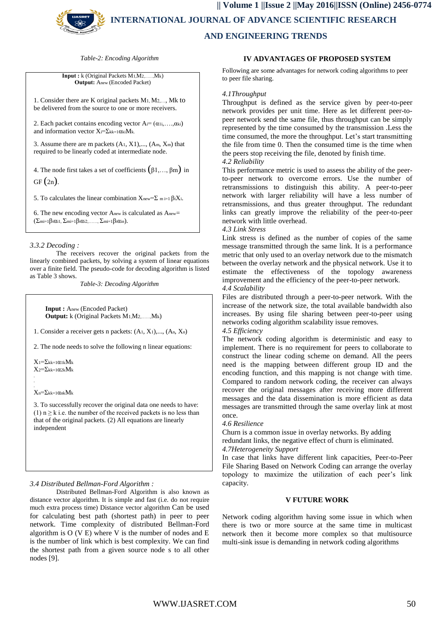

*Table-2: Encoding Algorithm*

**Input :** k (Original Packets M1,M2,……,Mk) **Output:** Anew (Encoded Packet)

1. Consider there are K original packets M1, M2,…, Mk to be delivered from the source to one or more receivers.

2. Each packet contains encoding vector  $A = (\alpha_1, \ldots, \alpha_k)$ and information vector Xi=Σkk=1αkiMk.

3. Assume there are m packets  $(A_1, X_1),..., (A_m, X_m)$  that required to be linearly coded at intermediate node.

4. The node first takes a set of coefficients  $(\beta_1, \ldots, \beta_m)$  in  $GF(2n)$ .

5. To calculates the linear combination  $X_{\text{new}} = \sum_{m=1}^{\infty} \beta_i X_i$ .

6. The new encoding vector Anew is calculated as Anew= (Σmi=1βiαi1, Σmi=1βiαi2,……, Σmi=1βiαin).

## *3.3.2 Decoding :*

The receivers recover the original packets from the linearly combined packets, by solving a system of linear equations over a finite field. The pseudo-code for decoding algorithm is listed as Table 3 shows.

*Table-3: Decoding Algorithm*

 **Input :** Anew (Encoded Packet)  **Output:** k (Original Packets M1,M2,……,Mk)

1. Consider a receiver gets n packets: (A1, X1),..., (An, Xn)

2. The node needs to solve the following n linear equations:

 $X_1 = \sum_{kk=1}^{\infty} a_{1k} M_k$  $X_2 = \sum_{kk=1}^{\infty} \alpha_{2k} M_k$ .

 $X_n = \sum_{kk=1}^{\infty} \alpha_{nk} M_k$ 

. .

3. To successfully recover the original data one needs to have: (1)  $n \ge k$  i.e. the number of the received packets is no less than that of the original packets. (2) All equations are linearly independent

*3.4 Distributed Bellman-Ford Algorithm :*

Distributed Bellman-Ford Algorithm is also known as distance vector algorithm. It is simple and fast (i.e. do not require much extra process time) Distance vector algorithm Can be used for calculating best path (shortest path) in peer to peer network. Time complexity of distributed Bellman-Ford algorithm is O (V E) where V is the number of nodes and E is the number of link which is best complexity. We can find the shortest path from a given source node s to all other nodes [9].

# **IV ADVANTAGES OF PROPOSED SYSTEM**

Following are some advantages for network coding algorithms to peer to peer file sharing.

#### *4.1Throughput*

Throughput is defined as the service given by peer-to-peer network provides per unit time. Here as let different peer-topeer network send the same file, thus throughput can be simply represented by the time consumed by the transmission .Less the time consumed, the more the throughput. Let's start transmitting the file from time 0. Then the consumed time is the time when the peers stop receiving the file, denoted by finish time.

### *4.2 Reliability*

This performance metric is used to assess the ability of the peerto-peer network to overcome errors. Use the number of retransmissions to distinguish this ability. A peer-to-peer network with larger reliability will have a less number of retransmissions, and thus greater throughput. The redundant links can greatly improve the reliability of the peer-to-peer network with little overhead.

# *4.3 Link Stress*

Link stress is defined as the number of copies of the same message transmitted through the same link. It is a performance metric that only used to an overlay network due to the mismatch between the overlay network and the physical network. Use it to estimate the effectiveness of the topology awareness improvement and the efficiency of the peer-to-peer network.

## *4.4 Scalability*

Files are distributed through a peer-to-peer network. With the increase of the network size, the total available bandwidth also increases. By using file sharing between peer-to-peer using networks coding algorithm scalability issue removes.

*4.5 Efficiency* 

The network coding algorithm is deterministic and easy to implement. There is no requirement for peers to collaborate to construct the linear coding scheme on demand. All the peers need is the mapping between different group ID and the encoding function, and this mapping is not change with time. Compared to random network coding, the receiver can always recover the original messages after receiving more different messages and the data dissemination is more efficient as data messages are transmitted through the same overlay link at most once.

#### *4.6 Resilience*

Churn is a common issue in overlay networks. By adding redundant links, the negative effect of churn is eliminated. *4.7Heterogeneity Support* 

In case that links have different link capacities, Peer-to-Peer File Sharing Based on Network Coding can arrange the overlay topology to maximize the utilization of each peer's link capacity.

#### **V FUTURE WORK**

Network coding algorithm having some issue in which when there is two or more source at the same time in multicast network then it become more complex so that multisource multi-sink issue is demanding in network coding algorithms